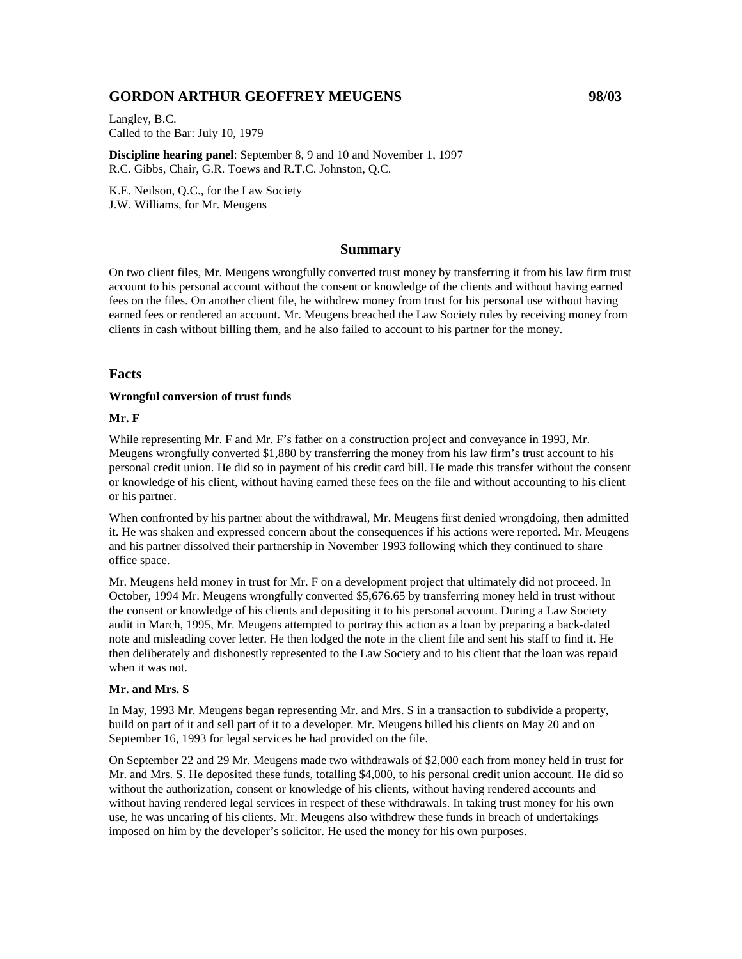# **GORDON ARTHUR GEOFFREY MEUGENS 98/03**

Langley, B.C. Called to the Bar: July 10, 1979

**Discipline hearing panel**: September 8, 9 and 10 and November 1, 1997 R.C. Gibbs, Chair, G.R. Toews and R.T.C. Johnston, Q.C.

K.E. Neilson, Q.C., for the Law Society J.W. Williams, for Mr. Meugens

## **Summary**

On two client files, Mr. Meugens wrongfully converted trust money by transferring it from his law firm trust account to his personal account without the consent or knowledge of the clients and without having earned fees on the files. On another client file, he withdrew money from trust for his personal use without having earned fees or rendered an account. Mr. Meugens breached the Law Society rules by receiving money from clients in cash without billing them, and he also failed to account to his partner for the money.

## **Facts**

#### **Wrongful conversion of trust funds**

#### **Mr. F**

While representing Mr. F and Mr. F's father on a construction project and conveyance in 1993, Mr. Meugens wrongfully converted \$1,880 by transferring the money from his law firm's trust account to his personal credit union. He did so in payment of his credit card bill. He made this transfer without the consent or knowledge of his client, without having earned these fees on the file and without accounting to his client or his partner.

When confronted by his partner about the withdrawal, Mr. Meugens first denied wrongdoing, then admitted it. He was shaken and expressed concern about the consequences if his actions were reported. Mr. Meugens and his partner dissolved their partnership in November 1993 following which they continued to share office space.

Mr. Meugens held money in trust for Mr. F on a development project that ultimately did not proceed. In October, 1994 Mr. Meugens wrongfully converted \$5,676.65 by transferring money held in trust without the consent or knowledge of his clients and depositing it to his personal account. During a Law Society audit in March, 1995, Mr. Meugens attempted to portray this action as a loan by preparing a back-dated note and misleading cover letter. He then lodged the note in the client file and sent his staff to find it. He then deliberately and dishonestly represented to the Law Society and to his client that the loan was repaid when it was not.

#### **Mr. and Mrs. S**

In May, 1993 Mr. Meugens began representing Mr. and Mrs. S in a transaction to subdivide a property, build on part of it and sell part of it to a developer. Mr. Meugens billed his clients on May 20 and on September 16, 1993 for legal services he had provided on the file.

On September 22 and 29 Mr. Meugens made two withdrawals of \$2,000 each from money held in trust for Mr. and Mrs. S. He deposited these funds, totalling \$4,000, to his personal credit union account. He did so without the authorization, consent or knowledge of his clients, without having rendered accounts and without having rendered legal services in respect of these withdrawals. In taking trust money for his own use, he was uncaring of his clients. Mr. Meugens also withdrew these funds in breach of undertakings imposed on him by the developer's solicitor. He used the money for his own purposes.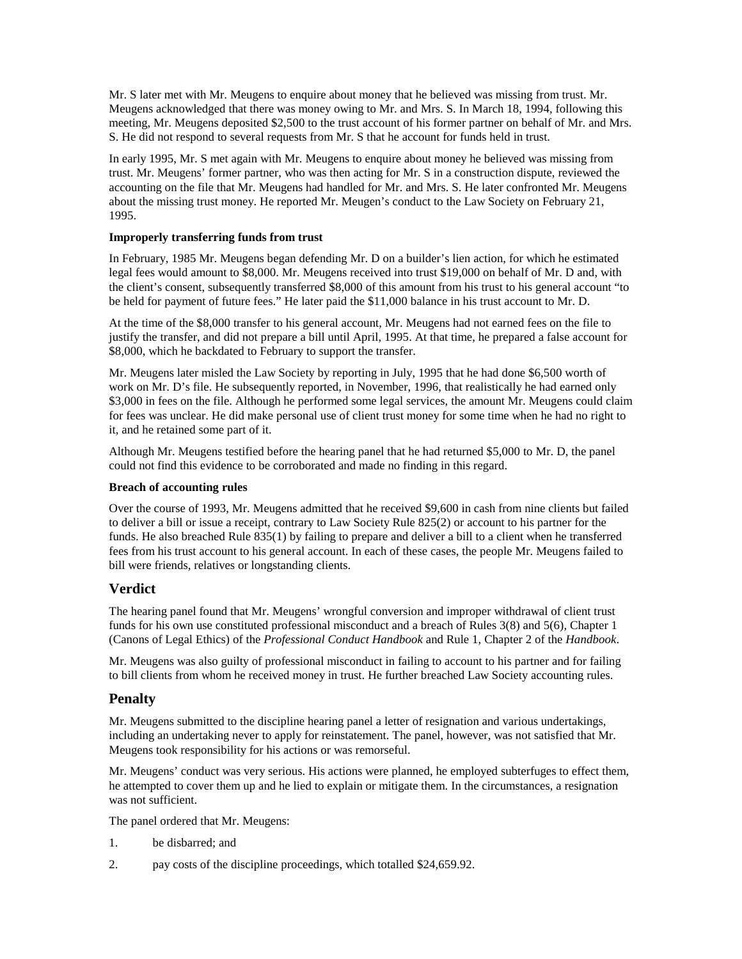Mr. S later met with Mr. Meugens to enquire about money that he believed was missing from trust. Mr. Meugens acknowledged that there was money owing to Mr. and Mrs. S. In March 18, 1994, following this meeting, Mr. Meugens deposited \$2,500 to the trust account of his former partner on behalf of Mr. and Mrs. S. He did not respond to several requests from Mr. S that he account for funds held in trust.

In early 1995, Mr. S met again with Mr. Meugens to enquire about money he believed was missing from trust. Mr. Meugens' former partner, who was then acting for Mr. S in a construction dispute, reviewed the accounting on the file that Mr. Meugens had handled for Mr. and Mrs. S. He later confronted Mr. Meugens about the missing trust money. He reported Mr. Meugen's conduct to the Law Society on February 21, 1995.

## **Improperly transferring funds from trust**

In February, 1985 Mr. Meugens began defending Mr. D on a builder's lien action, for which he estimated legal fees would amount to \$8,000. Mr. Meugens received into trust \$19,000 on behalf of Mr. D and, with the client's consent, subsequently transferred \$8,000 of this amount from his trust to his general account "to be held for payment of future fees." He later paid the \$11,000 balance in his trust account to Mr. D.

At the time of the \$8,000 transfer to his general account, Mr. Meugens had not earned fees on the file to justify the transfer, and did not prepare a bill until April, 1995. At that time, he prepared a false account for \$8,000, which he backdated to February to support the transfer.

Mr. Meugens later misled the Law Society by reporting in July, 1995 that he had done \$6,500 worth of work on Mr. D's file. He subsequently reported, in November, 1996, that realistically he had earned only \$3,000 in fees on the file. Although he performed some legal services, the amount Mr. Meugens could claim for fees was unclear. He did make personal use of client trust money for some time when he had no right to it, and he retained some part of it.

Although Mr. Meugens testified before the hearing panel that he had returned \$5,000 to Mr. D, the panel could not find this evidence to be corroborated and made no finding in this regard.

#### **Breach of accounting rules**

Over the course of 1993, Mr. Meugens admitted that he received \$9,600 in cash from nine clients but failed to deliver a bill or issue a receipt, contrary to Law Society Rule 825(2) or account to his partner for the funds. He also breached Rule 835(1) by failing to prepare and deliver a bill to a client when he transferred fees from his trust account to his general account. In each of these cases, the people Mr. Meugens failed to bill were friends, relatives or longstanding clients.

## **Verdict**

The hearing panel found that Mr. Meugens' wrongful conversion and improper withdrawal of client trust funds for his own use constituted professional misconduct and a breach of Rules 3(8) and 5(6), Chapter 1 (Canons of Legal Ethics) of the *Professional Conduct Handbook* and Rule 1, Chapter 2 of the *Handbook*.

Mr. Meugens was also guilty of professional misconduct in failing to account to his partner and for failing to bill clients from whom he received money in trust. He further breached Law Society accounting rules.

## **Penalty**

Mr. Meugens submitted to the discipline hearing panel a letter of resignation and various undertakings, including an undertaking never to apply for reinstatement. The panel, however, was not satisfied that Mr. Meugens took responsibility for his actions or was remorseful.

Mr. Meugens' conduct was very serious. His actions were planned, he employed subterfuges to effect them, he attempted to cover them up and he lied to explain or mitigate them. In the circumstances, a resignation was not sufficient.

The panel ordered that Mr. Meugens:

- 1. be disbarred; and
- 2. pay costs of the discipline proceedings, which totalled \$24,659.92.